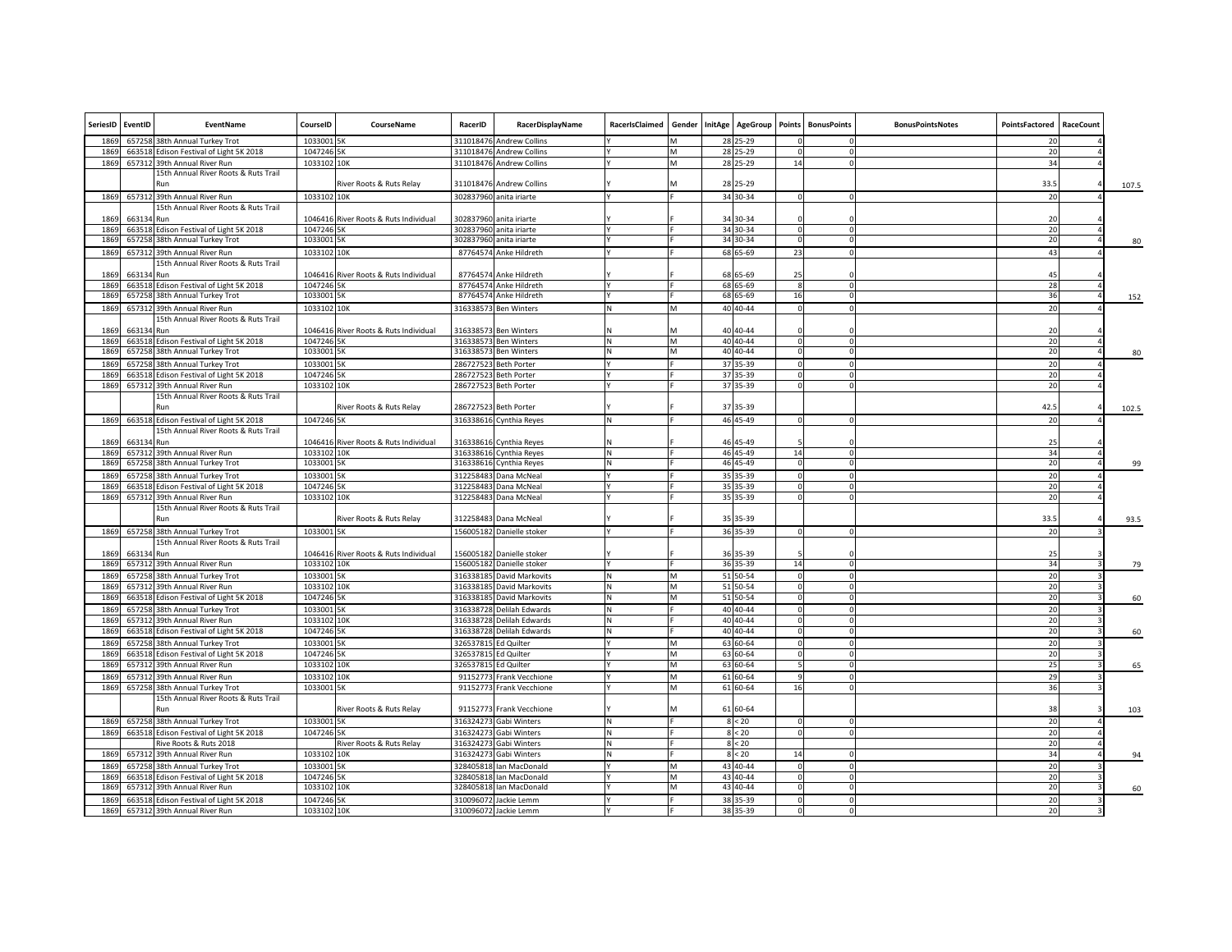| SeriesID     | EventID    | EventName                                                                 | CourseID                 | CourseName                            | RacerID   | RacerDisplayName                                 | RacerIsClaimed | Gender | <b>InitAge</b> | AgeGroup                 | Points      | <b>BonusPoints</b> | <b>BonusPointsNotes</b> | PointsFactored | RaceCount |       |
|--------------|------------|---------------------------------------------------------------------------|--------------------------|---------------------------------------|-----------|--------------------------------------------------|----------------|--------|----------------|--------------------------|-------------|--------------------|-------------------------|----------------|-----------|-------|
| 1869         |            | 657258 38th Annual Turkey Trot                                            | 1033001 5K               |                                       | 311018476 | <b>Andrew Collins</b>                            |                |        |                | 28 25-29                 |             |                    |                         | 20             |           |       |
| 1869         |            | 663518 Edison Festival of Light 5K 2018                                   | 1047246 5K               |                                       | 311018476 | <b>Andrew Collins</b>                            |                | M      |                | 28 25-29                 | $\Omega$    |                    |                         | 20             |           |       |
| 1869         |            | 657312 39th Annual River Run                                              | 1033102 10K              |                                       |           | 311018476 Andrew Collins                         |                | M      |                | 28 25-29                 | 14          |                    |                         | 34             |           |       |
|              |            | 15th Annual River Roots & Ruts Trail<br>Run                               |                          | River Roots & Ruts Relay              |           | 311018476 Andrew Collins                         |                |        |                | 28 25-29                 |             |                    |                         | 33.5           |           | 107.5 |
| 1869         |            | 657312 39th Annual River Run                                              | 1033102 10K              |                                       |           | 302837960 anita iriarte                          |                |        |                | 34 30-34                 |             |                    |                         | 20             |           |       |
|              |            | 15th Annual River Roots & Ruts Trail                                      |                          |                                       |           |                                                  |                |        |                |                          |             |                    |                         |                |           |       |
| 1869         | 663134 Run |                                                                           |                          | 1046416 River Roots & Ruts Individual |           | 302837960 anita iriarte                          |                |        |                | 34 30-34                 |             |                    |                         | 20             |           |       |
| 1869<br>1869 |            | 663518 Edison Festival of Light 5K 2018                                   | 1047246 5K               |                                       |           | 302837960 anita iriarte                          |                |        |                | 34 30-34                 | $\Omega$    | $\Omega$           |                         | 20             |           |       |
|              |            | 657258 38th Annual Turkey Trot                                            | 1033001 5K               |                                       |           | 302837960 anita iriarte                          |                |        |                | 34 30-34                 |             |                    |                         | 20             |           | 80    |
| 1869         |            | 657312 39th Annual River Run                                              | 1033102 10K              |                                       |           | 87764574 Anke Hildreth                           |                |        |                | 68 65-69                 | 23          | O                  |                         | 43             |           |       |
|              |            | 15th Annual River Roots & Ruts Trail                                      |                          |                                       |           |                                                  |                |        |                |                          |             |                    |                         |                |           |       |
| 1869         | 663134 Run |                                                                           |                          | 1046416 River Roots & Ruts Individual |           | 87764574 Anke Hildreth                           |                |        |                | 68 65-69                 | 25          |                    |                         | 45             |           |       |
| 1869<br>186  |            | 663518 Edison Festival of Light 5K 2018<br>657258 38th Annual Turkey Trot | 1047246 5K<br>1033001 5K |                                       |           | 87764574 Anke Hildreth<br>87764574 Anke Hildreth |                |        |                | 68 65-69<br>68 65-69     | 16          |                    |                         | 28<br>36       |           |       |
|              |            |                                                                           |                          |                                       |           |                                                  |                |        |                |                          |             |                    |                         |                |           | 152   |
| 1869         |            | 657312 39th Annual River Run                                              | 1033102 10K              |                                       |           | 316338573 Ben Winters                            |                | M      |                | 40 40 - 44               |             |                    |                         | 20             |           |       |
|              |            | 15th Annual River Roots & Ruts Trail                                      |                          |                                       |           |                                                  |                |        |                |                          |             |                    |                         |                |           |       |
| 1869         | 663134 Run |                                                                           |                          | 1046416 River Roots & Ruts Individual |           | 316338573 Ben Winters                            |                |        |                | 40 40 - 44               |             |                    |                         | 20             |           |       |
| 1869<br>1869 |            | 663518 Edison Festival of Light 5K 2018                                   | 1047246 5K               |                                       |           | 316338573 Ben Winters                            | N              | M<br>M |                | 40 40 - 44<br>40 40 - 44 |             | $\Omega$           |                         | 20<br>20       |           |       |
|              |            | 657258 38th Annual Turkey Trot                                            | 1033001 5K               |                                       |           | 316338573 Ben Winters                            |                |        |                |                          | $\mathbf 0$ | $\Omega$           |                         |                |           | 80    |
| 1869         | 657258     | 38th Annual Turkey Trot                                                   | 1033001 5K               |                                       |           | 286727523 Beth Porter                            |                |        |                | 37 35-39                 |             |                    |                         | 20             |           |       |
| 1869         |            | 663518 Edison Festival of Light 5K 2018                                   | 1047246 5K               |                                       |           | 286727523 Beth Porter                            |                |        |                | 37 35-39                 |             | n                  |                         | 20             |           |       |
| 1869         |            | 657312 39th Annual River Run                                              | 1033102 10K              |                                       |           | 286727523 Beth Porter                            |                |        |                | 37 35-39                 | $\Omega$    | $\Omega$           |                         | 20             |           |       |
|              |            | 15th Annual River Roots & Ruts Trail<br>Run                               |                          | River Roots & Ruts Relay              |           | 286727523 Beth Porter                            |                |        |                | 37 35-39                 |             |                    |                         | 42.5           |           | 102.5 |
| 1869         |            | 663518 Edison Festival of Light 5K 2018                                   | 1047246 5K               |                                       |           | 316338616 Cynthia Reyes                          |                |        |                | 46 45-49                 |             |                    |                         | 20             |           |       |
|              |            | 15th Annual River Roots & Ruts Trail                                      |                          |                                       |           |                                                  |                |        |                |                          |             |                    |                         |                |           |       |
| 1869         | 663134 Run |                                                                           |                          | 1046416 River Roots & Ruts Individual |           | 316338616 Cynthia Reyes                          |                |        |                | 46 45-49                 |             |                    |                         | 25             |           |       |
| 1869         |            | 657312 39th Annual River Run                                              | 1033102 10K              |                                       |           | 316338616 Cynthia Reyes                          |                |        |                | 46 45-49                 | 14          |                    |                         | 34             |           |       |
| 1869         |            | 657258 38th Annual Turkey Trot                                            | 1033001 5K               |                                       |           | 316338616 Cynthia Reyes                          |                |        |                | 46 45-49                 |             |                    |                         | 20             |           | 99    |
| 186          |            | 657258 38th Annual Turkey Trot                                            | 1033001 5K               |                                       | 312258483 | Dana McNeal                                      |                |        |                | 35 35-39                 | $\Omega$    |                    |                         | 20             |           |       |
| 1869         |            | 663518 Edison Festival of Light 5K 2018                                   | 1047246 5K               |                                       |           | 312258483 Dana McNeal                            |                |        |                | 35 35-39                 | $\Omega$    |                    |                         | 20             |           |       |
| 1869         |            | 657312 39th Annual River Run                                              | 1033102 10K              |                                       |           | 312258483 Dana McNeal                            |                |        |                | 35 35-39                 |             |                    |                         | 20             |           |       |
|              |            | 15th Annual River Roots & Ruts Trail                                      |                          |                                       |           |                                                  |                |        |                |                          |             |                    |                         |                |           |       |
|              |            | Run                                                                       |                          | River Roots & Ruts Relay              |           | 312258483 Dana McNeal                            |                |        |                | 35 35-39                 |             |                    |                         | 33.5           |           | 93.5  |
| 1869         |            | 657258 38th Annual Turkey Trot                                            | 1033001 5K               |                                       |           | 156005182 Danielle stoker                        |                |        |                | 36 35-39                 | $\Omega$    | $\Omega$           |                         | 20             |           |       |
|              |            | 15th Annual River Roots & Ruts Trail                                      |                          |                                       |           |                                                  |                |        |                |                          |             |                    |                         |                |           |       |
| 1869         | 663134 Run |                                                                           |                          | 1046416 River Roots & Ruts Individual |           | 156005182 Danielle stoker                        |                |        |                | 36 35-39                 |             |                    |                         | 25             |           |       |
| 1869         |            | 657312 39th Annual River Run                                              | 1033102 10K              |                                       |           | 156005182 Danielle stoker                        |                |        |                | 36 35-39                 | 14          | 0                  |                         | 34             |           | 79    |
| 1869         |            | 657258 38th Annual Turkey Trot                                            | 1033001 5K               |                                       |           | 316338185 David Markovits                        |                | M      |                | 51 50-54                 |             |                    |                         | 20             |           |       |
| 1869         |            | 657312 39th Annual River Run                                              | 1033102 10K              |                                       |           | 316338185 David Markovits                        |                | M      |                | 51 50-54                 |             | n                  |                         | 20             |           |       |
| 1869         |            | 663518 Edison Festival of Light 5K 2018                                   | 1047246 5K               |                                       |           | 316338185 David Markovits                        | N              | M      |                | 51 50-54                 | $\circ$     | $\Omega$           |                         | 20             |           | 60    |
| 1869         |            | 657258 38th Annual Turkey Trot                                            | 1033001 5K               |                                       |           | 316338728 Delilah Edwards                        | N              |        |                | 40 40 - 44               | $\Omega$    |                    |                         | 20             |           |       |
| 1869         | 657312     | 39th Annual River Run                                                     | 1033102 10K              |                                       | 316338728 | Delilah Edwards                                  | Ν              |        |                | 40 40 - 44               |             |                    |                         | 20             |           |       |
| 1869         |            | 663518 Edison Festival of Light 5K 2018                                   | 1047246 5K               |                                       |           | 316338728 Delilah Edwards                        | N              |        |                | 40 40 - 44               | $\Omega$    | $\Omega$           |                         | 20             |           | 60    |
| 1869         |            | 657258 38th Annual Turkey Trot                                            | 1033001 5K               |                                       | 326537815 | <b>Ed Quilter</b>                                |                |        |                | 63 60-64                 |             |                    |                         | 20             |           |       |
| 1869         | 663518     | Edison Festival of Light 5K 2018                                          | 1047246 5K               |                                       | 326537815 | <b>Ed Quilter</b>                                |                | M      |                | 63 60-64                 | $\Omega$    | $\Omega$           |                         | 20             |           |       |
| 1869         | 657312     | 39th Annual River Run                                                     | 1033102 10K              |                                       | 326537815 | Ed Quilter                                       |                | M      |                | 63 60-64                 |             |                    |                         | 25             |           | 65    |
| 1869         | 657312     | 39th Annual River Run                                                     | 1033102 10K              |                                       | 91152773  | Frank Vecchione                                  |                | м      |                | 61 60-64                 |             | n                  |                         | 29             |           |       |
| 1869         |            | 657258 38th Annual Turkey Trot                                            | 1033001 5K               |                                       |           | 91152773 Frank Vecchione                         |                | M      |                | 61 60-64                 | 16          | ΩI                 |                         | 36             |           |       |
|              |            | 15th Annual River Roots & Ruts Trail                                      |                          |                                       |           |                                                  |                |        |                |                          |             |                    |                         |                |           |       |
|              |            | Run                                                                       |                          | River Roots & Ruts Relay              |           | 91152773 Frank Vecchione                         |                | м      |                | 61 60-64                 |             |                    |                         | 38             |           | 103   |
| 1869         |            | 657258 38th Annual Turkey Trot                                            | 1033001 5K               |                                       | 316324273 | Gabi Winters                                     |                |        |                | $< 20$                   |             |                    |                         | 20             |           |       |
| 1869         |            | 663518 Edison Festival of Light 5K 2018                                   | 1047246 5K               |                                       | 316324273 | Gabi Winters                                     |                |        |                | < 20                     |             |                    |                         | 20             |           |       |
|              |            | Rive Roots & Ruts 2018                                                    |                          | River Roots & Ruts Relay              | 316324273 | Gabi Winters                                     |                |        |                | 8 < 20                   |             |                    |                         | 20             |           |       |
| 1869         |            | 657312 39th Annual River Run                                              | 1033102 10K              |                                       | 316324273 | Gabi Winters                                     |                |        |                | 8 < 20                   | 14          |                    |                         | 34             |           | 94    |
| 1869         |            | 657258 38th Annual Turkey Trot                                            | 1033001 5K               |                                       | 328405818 | lan MacDonald                                    |                | M      |                | 43 40-44                 |             | $\Omega$           |                         | 20             |           |       |
| 1869         |            | 663518 Edison Festival of Light 5K 2018                                   | 1047246 5K               |                                       | 328405818 | Ian MacDonald                                    |                | M      |                | 43 40-44                 | $\circ$     | $\Omega$           |                         | 20             |           |       |
| 1869         | 657312     | 39th Annual River Run                                                     | 1033102 10K              |                                       |           | 328405818 Ian MacDonald                          |                |        |                | 43 40-44                 |             |                    |                         | 20             |           | 60    |
| 1869         |            | 663518 Edison Festival of Light 5K 2018                                   | 1047246 5K               |                                       |           | 310096072 Jackie Lemm                            |                |        |                | 38 35-39                 |             |                    |                         | 20             |           |       |
| 1869         |            | 657312 39th Annual River Run                                              | 1033102 10K              |                                       |           | 310096072 Jackie Lemm                            |                |        |                | 38 35-39                 |             |                    |                         | 20             |           |       |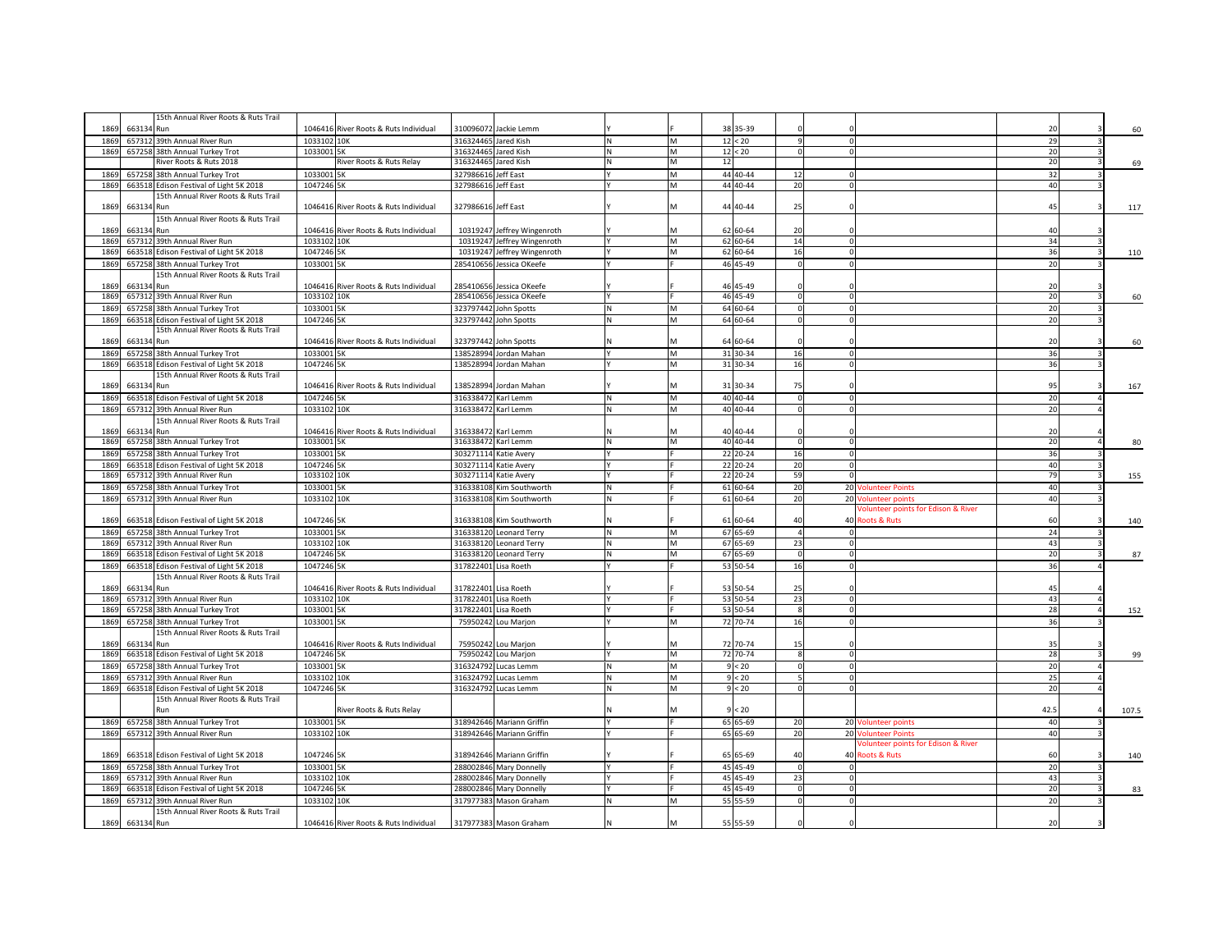|             |            | 15th Annual River Roots & Ruts Trail                           |                           |                                       |           |                                          |   |        |    |                      |                            |                                                |          |       |
|-------------|------------|----------------------------------------------------------------|---------------------------|---------------------------------------|-----------|------------------------------------------|---|--------|----|----------------------|----------------------------|------------------------------------------------|----------|-------|
| 1869        | 663134 Run |                                                                |                           | 1046416 River Roots & Ruts Individual |           | 310096072 Jackie Lemm                    |   |        |    | 38 35-39             |                            |                                                | 20       | 60    |
| 186         | 657312     | 39th Annual River Run                                          | 1033102 10K               |                                       | 316324465 | Jared Kish                               |   | M      |    | 12 < 20              |                            |                                                | 29       |       |
| 1869        |            | 657258 38th Annual Turkey Trot                                 | 1033001 5K                |                                       | 316324465 | Jared Kish                               |   | M      |    | 12 < 20              |                            |                                                | 20       |       |
|             |            | River Roots & Ruts 2018                                        |                           | River Roots & Ruts Relay              | 316324465 | Jared Kish                               |   | М      | 12 |                      |                            |                                                | 20       | 69    |
| 1869        |            | 657258 38th Annual Turkey Trot                                 | 1033001                   | <b>5K</b>                             | 32798661  | Jeff East                                |   | M      |    | 44 40-44             | 12                         |                                                | 32       |       |
| 1869        |            | 663518 Edison Festival of Light 5K 2018                        | 1047246 5K                |                                       | 327986616 | Jeff East                                |   | M      |    | 44 40-44             | 20                         |                                                | 40       |       |
|             |            | 15th Annual River Roots & Ruts Trail                           |                           |                                       |           |                                          |   |        |    |                      |                            |                                                |          |       |
| 1869        | 663134 Run |                                                                |                           | 1046416 River Roots & Ruts Individual | 327986616 | Jeff East                                |   | M      |    | 44 40-44             | 25                         |                                                | 45       | 117   |
|             |            | 15th Annual River Roots & Ruts Trail                           |                           |                                       |           |                                          |   |        |    |                      |                            |                                                |          |       |
| 1869        | 663134 Run |                                                                |                           | 1046416 River Roots & Ruts Individual |           | 10319247 Jeffrey Wingenroth              |   |        |    | 62 60-64             | 20                         |                                                | 40       |       |
| 1869        |            | 657312 39th Annual River Run                                   | 1033102 10K               |                                       |           | 10319247 Jeffrey Wingenroth              |   | M      |    | 62 60-64             | 14                         |                                                | 34       |       |
| 1869        |            | 663518 Edison Festival of Light 5K 2018                        | 1047246 5K                |                                       |           | 10319247 Jeffrey Wingenroth              |   | M      |    | 62 60-64             | 16                         |                                                | 36       | 110   |
| 1869        |            | 657258 38th Annual Turkey Trot                                 | 1033001 5K                |                                       | 285410656 | Jessica OKeefe                           |   |        |    | 46 45-49             |                            |                                                | 20       |       |
|             |            | 15th Annual River Roots & Ruts Trail                           |                           |                                       |           |                                          |   |        |    |                      |                            |                                                |          |       |
| 1869        | 663134 Run |                                                                |                           | 1046416 River Roots & Ruts Individual | 285410656 | Jessica OKeefe                           |   |        |    | 46 45-49             |                            |                                                | 20       |       |
| 186         |            | 657312 39th Annual River Run                                   | 1033102 10K               |                                       | 285410656 | Jessica OKeefe                           |   |        |    | 46 45-49             |                            |                                                | 20       | 60    |
| 1869        |            | 657258 38th Annual Turkey Trot                                 | 1033001 5K                |                                       | 323797442 | John Spotts                              |   | M      |    | 64 60-64             |                            |                                                | 20       |       |
| 1869        |            | 663518 Edison Festival of Light 5K 2018                        | 1047246 5K                |                                       | 323797442 | John Spotts                              |   | M      |    | 64 60-64             |                            |                                                | 20       |       |
|             |            | 15th Annual River Roots & Ruts Trail                           |                           |                                       |           |                                          |   |        |    |                      |                            |                                                |          |       |
| 1869        | 663134 Run |                                                                |                           | 1046416 River Roots & Ruts Individual | 323797442 | John Spotts                              |   | м      |    | 64 60-64             |                            |                                                | 20       | 60    |
| 1869        |            | 657258 38th Annual Turkey Trot                                 | 1033001 5K                |                                       | 138528994 | Jordan Mahan                             |   | M      |    | 31 30-34             | 16                         |                                                | 36       |       |
| 1869        |            | 663518 Edison Festival of Light 5K 2018                        | 1047246 5K                |                                       |           | 138528994 Jordan Mahan                   |   | M      |    | 31 30-34             | 16<br>$\Omega$             |                                                | 36       |       |
| 1869        | 663134 Run | 15th Annual River Roots & Ruts Trail                           |                           |                                       |           | 138528994 Jordan Mahan                   |   |        |    | 31 30-34             | 75                         |                                                | 95       |       |
|             |            |                                                                |                           | 1046416 River Roots & Ruts Individual |           |                                          |   | M      |    | 40 40 - 44           |                            |                                                |          | 167   |
| 1869        |            | 663518 Edison Festival of Light 5K 2018                        | 1047246 5K                |                                       |           | 316338472 Karl Lemm                      | N |        |    | 40 40 - 44           | $\Omega$<br>$\Omega$       |                                                | 20       |       |
| 1869        |            | 657312 39th Annual River Run                                   | 1033102 10K               |                                       |           | 316338472 Karl Lemm                      |   | M      |    |                      |                            |                                                | 20       |       |
| 1869        | 663134 Run | 15th Annual River Roots & Ruts Trail                           |                           | 1046416 River Roots & Ruts Individual |           | 316338472 Karl Lemm                      |   |        |    | 40 40 - 44           |                            |                                                | 20       |       |
| 1869        |            | 657258 38th Annual Turkey Trot                                 | 1033001 5K                |                                       |           | 316338472 Karl Lemm                      |   | М      |    | 40 40 - 44           | $\mathbf 0$<br>$\Omega$    |                                                | 20       | 80    |
| 186         | 657258     | 38th Annual Turkey Trot                                        | 1033001 5K                |                                       |           | 303271114 Katie Avery                    |   |        |    | 22 20-24             | 16                         |                                                | 36       |       |
| 186         |            | 663518 Edison Festival of Light 5K 2018                        | 1047246 5K                |                                       | 303271114 | Katie Avery                              |   |        |    | 22 20-24             | 20                         |                                                | 40       |       |
| 1869        | 657312     | 39th Annual River Run                                          | 1033102 10K               |                                       |           | 303271114 Katie Avery                    |   |        |    | 22 20-24             | 59                         |                                                | 79       | 155   |
|             |            |                                                                |                           |                                       |           |                                          |   |        |    |                      |                            |                                                |          |       |
|             |            |                                                                |                           |                                       |           |                                          |   |        |    |                      |                            |                                                |          |       |
| 186         | 657258     | 38th Annual Turkey Trot                                        | 1033001 5K                |                                       | 316338108 | Kim Southworth                           |   |        |    | 61 60-64             | 20                         | 20 Volunteer Points                            | 40       |       |
| 1869        |            | 657312 39th Annual River Run                                   | 1033102 10K               |                                       | 316338108 | Kim Southworth                           |   |        |    | 61 60-64             | 20                         | 20 Volunteer points                            | 40       |       |
|             |            |                                                                |                           |                                       |           |                                          |   |        |    |                      |                            | <b>Jolunteer points for Edison &amp; River</b> |          |       |
| 186         |            | 663518 Edison Festival of Light 5K 2018                        | 1047246 5K                |                                       |           | 316338108 Kim Southworth                 |   |        |    | 61 60-64             | 40                         | 40 Roots & Ruts                                | 60       | 140   |
| 186         |            | 657258 38th Annual Turkey Trot                                 | 1033001 5K                |                                       |           | 316338120 Leonard Terry                  |   | M<br>м |    | 67 65-69             | $\Omega$                   |                                                | 24       |       |
| 1869<br>186 |            | 657312 39th Annual River Run                                   | 1033102 10K<br>1047246 5K |                                       | 316338120 | 316338120 Leonard Terry<br>Leonard Terry |   | м      |    | 67 65-69<br>67 65-69 | 23<br>$\Omega$<br>$\Omega$ |                                                | 43<br>20 |       |
|             |            | 663518 Edison Festival of Light 5K 2018                        |                           |                                       |           |                                          |   |        |    |                      |                            |                                                |          | 87    |
| 1869        |            | 663518 Edison Festival of Light 5K 2018                        | 1047246 5K                |                                       | 317822401 | Lisa Roeth                               |   |        |    | 53 50-54             | 16                         |                                                | 36       |       |
| 1869        | 663134 Run | 15th Annual River Roots & Ruts Trail                           |                           |                                       |           |                                          |   |        |    |                      |                            |                                                | 45       |       |
|             |            |                                                                |                           | 1046416 River Roots & Ruts Individual | 317822401 | Lisa Roeth                               |   |        |    | 53 50-54             | 25                         |                                                |          |       |
| 186<br>186  |            | 657312 39th Annual River Run<br>657258 38th Annual Turkey Trot | 1033102 10K<br>1033001 5K |                                       | 317822401 | 317822401 Lisa Roeth<br>Lisa Roeth       |   |        |    | 53 50-54<br>53 50-54 | 23                         |                                                | 43<br>28 |       |
| 186         | 657258     | 38th Annual Turkey Trot                                        | 1033001 5K                |                                       | 75950242  | Lou Marjon                               |   | M      |    | 72 70-74             | 16                         |                                                | 36       | 152   |
|             |            | 15th Annual River Roots & Ruts Trail                           |                           |                                       |           |                                          |   |        |    |                      |                            |                                                |          |       |
| 1869        | 663134 Run |                                                                |                           | 1046416 River Roots & Ruts Individual |           | 75950242 Lou Marjon                      |   |        |    | 72 70-74             | -15                        |                                                | 35       |       |
| 1869        |            | 663518 Edison Festival of Light 5K 2018                        | 1047246 5K                |                                       |           | 75950242 Lou Marjon                      |   | М      |    | 72 70-74             | $\mathbf 0$<br>-8          |                                                | 28       | 99    |
| 186         | 657258     | 38th Annual Turkey Trot                                        | 1033001 5K                |                                       | 316324792 | Lucas Lemm                               |   | M      |    | < 20                 |                            |                                                | 20       |       |
| 1869        |            | 657312 39th Annual River Run                                   | 1033102 10K               |                                       |           | 316324792 Lucas Lemm                     |   | M      |    | < 20                 |                            |                                                | 25       |       |
| 1869        |            | 663518 Edison Festival of Light 5K 2018                        | 1047246 5K                |                                       |           | 316324792 Lucas Lemm                     |   | M      |    | $< 20$               | $\Omega$                   |                                                | 20       |       |
|             |            | 15th Annual River Roots & Ruts Trail                           |                           |                                       |           |                                          |   |        |    |                      |                            |                                                |          |       |
|             |            | lun                                                            |                           | River Roots & Ruts Relay              |           |                                          |   | м      |    | < 20                 |                            |                                                | 42.5     | 107.5 |
| 1869        |            | 657258 38th Annual Turkey Trot                                 | 1033001 5K                |                                       |           | 318942646 Mariann Griffin                |   |        |    | 65 65-69             | 20                         | 20 Volunteer points                            | 40       |       |
| 1869        |            | 657312 39th Annual River Run                                   | 1033102 10K               |                                       |           | 318942646 Mariann Griffin                |   |        |    | 65 65-69             | 20                         | 20 Volunteer Points                            | 40       |       |
|             |            |                                                                |                           |                                       |           |                                          |   |        |    |                      |                            | <b>Volunteer points for Edison &amp; River</b> |          |       |
| 1869        |            | 663518 Edison Festival of Light 5K 2018                        | 1047246 5K                |                                       |           | 318942646 Mariann Griffin                |   |        |    | 65 65-69             | 40                         | 40 Roots & Ruts                                | 60       | 140   |
| 1869        |            | 657258 38th Annual Turkey Trot                                 | 1033001 5K                |                                       |           | 288002846 Mary Donnelly                  |   |        |    | 45 45-49             |                            |                                                | 20       |       |
| 1869        |            | 657312 39th Annual River Run                                   | 1033102 10K               |                                       | 288002846 | Mary Donnelly                            |   |        |    | 45 45-49             | 23                         |                                                | 43       |       |
| 186         |            | 663518 Edison Festival of Light 5K 2018                        | 1047246 5K                |                                       |           | 288002846 Mary Donnelly                  |   |        |    | 45 45 - 49           |                            |                                                | 20       | 83    |
| 1869        | 657312     | 39th Annual River Run                                          | 1033102 10K               |                                       | 317977383 | Mason Graham                             |   | M      |    | 55 55-59             | $\Omega$<br>$\Omega$       |                                                | 20       |       |
| 1869        | 663134 Run | 15th Annual River Roots & Ruts Trail                           |                           | 1046416 River Roots & Ruts Individual |           | 317977383 Mason Graham                   |   | м      |    | 55 55-59             |                            |                                                | 20       |       |